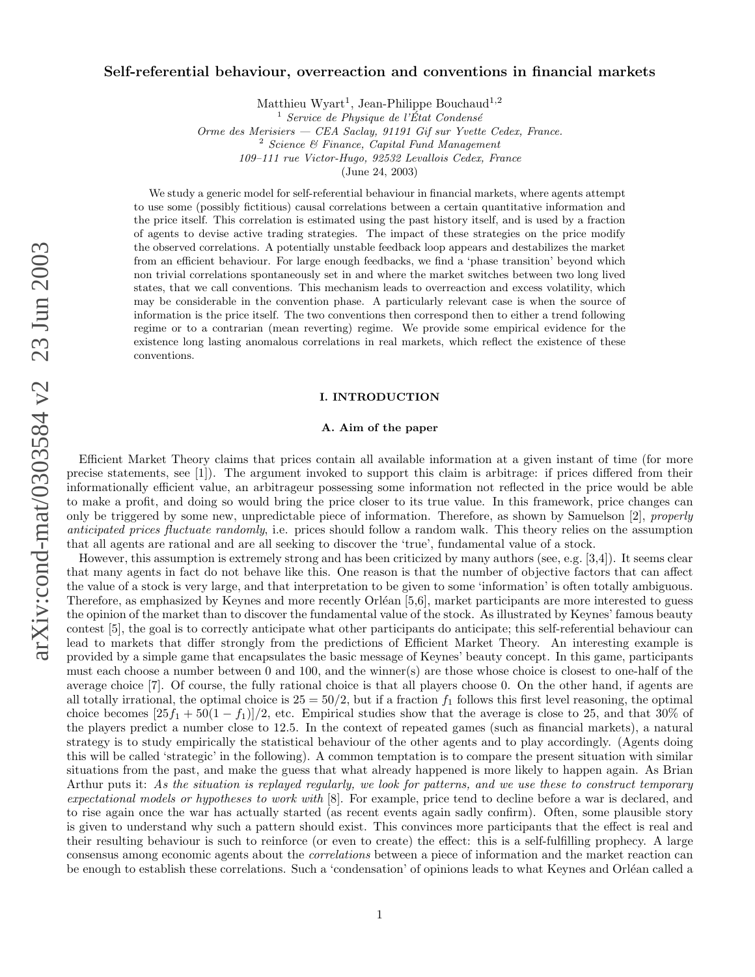# $arXiv:cond-mat/0303584$  v2 23 Jun 2003 arXiv:cond-mat/0303584 v2 23 Jun 2003

# Self-referential behaviour, overreaction and conventions in financial markets

Matthieu Wyart<sup>1</sup>, Jean-Philippe Bouchaud<sup>1,2</sup>

 $\frac{1}{1}$  Service de Physique de l'État Condensé

Orme des Merisiers — CEA Saclay, 91191 Gif sur Yvette Cedex, France.<br>
<sup>2</sup> Science & Finance, Capital Fund Management

109–111 rue Victor-Hugo, 92532 Levallois Cedex, France

(June 24, 2003)

We study a generic model for self-referential behaviour in financial markets, where agents attempt to use some (possibly fictitious) causal correlations between a certain quantitative information and the price itself. This correlation is estimated using the past history itself, and is used by a fraction of agents to devise active trading strategies. The impact of these strategies on the price modify the observed correlations. A potentially unstable feedback loop appears and destabilizes the market from an efficient behaviour. For large enough feedbacks, we find a 'phase transition' beyond which non trivial correlations spontaneously set in and where the market switches between two long lived states, that we call conventions. This mechanism leads to overreaction and excess volatility, which may be considerable in the convention phase. A particularly relevant case is when the source of information is the price itself. The two conventions then correspond then to either a trend following regime or to a contrarian (mean reverting) regime. We provide some empirical evidence for the existence long lasting anomalous correlations in real markets, which reflect the existence of these conventions.

#### I. INTRODUCTION

## A. Aim of the paper

Efficient Market Theory claims that prices contain all available information at a given instant of time (for more precise statements, see [1]). The argument invoked to support this claim is arbitrage: if prices differed from their informationally efficient value, an arbitrageur possessing some information not reflected in the price would be able to make a profit, and doing so would bring the price closer to its true value. In this framework, price changes can only be triggered by some new, unpredictable piece of information. Therefore, as shown by Samuelson [2], properly anticipated prices fluctuate randomly, i.e. prices should follow a random walk. This theory relies on the assumption that all agents are rational and are all seeking to discover the 'true', fundamental value of a stock.

However, this assumption is extremely strong and has been criticized by many authors (see, e.g. [3,4]). It seems clear that many agents in fact do not behave like this. One reason is that the number of objective factors that can affect the value of a stock is very large, and that interpretation to be given to some 'information' is often totally ambiguous. Therefore, as emphasized by Keynes and more recently Orléan [5,6], market participants are more interested to guess the opinion of the market than to discover the fundamental value of the stock. As illustrated by Keynes' famous beauty contest [5], the goal is to correctly anticipate what other participants do anticipate; this self-referential behaviour can lead to markets that differ strongly from the predictions of Efficient Market Theory. An interesting example is provided by a simple game that encapsulates the basic message of Keynes' beauty concept. In this game, participants must each choose a number between 0 and 100, and the winner(s) are those whose choice is closest to one-half of the average choice [7]. Of course, the fully rational choice is that all players choose 0. On the other hand, if agents are all totally irrational, the optimal choice is  $25 = 50/2$ , but if a fraction  $f_1$  follows this first level reasoning, the optimal choice becomes  $[25f_1 + 50(1 - f_1)]/2$ , etc. Empirical studies show that the average is close to 25, and that 30% of the players predict a number close to 12 .5. In the context of repeated games (such as financial markets), a natural strategy is to study empirically the statistical behaviour of the other agents and to play accordingly. (Agents doing this will be called 'strategic' in the following). A common temptation is to compare the present situation with similar situations from the past, and make the guess that what already happened is more likely to happen again. As Brian Arthur puts it: As the situation is replayed regularly, we look for patterns, and we use these to construct temporary expectational models or hypotheses to work with [8]. For example, price tend to decline before a war is declared, and to rise again once the war has actually started (as recent events again sadly confirm). Often, some plausible story is given to understand why such a pattern should exist. This convinces more participants that the effect is real and their resulting behaviour is such to reinforce (or even to create) the effect: this is a self-fulfilling prophecy. A large consensus among economic agents about the correlations between a piece of information and the market reaction can be enough to establish these correlations. Such a 'condensation' of opinions leads to what Keynes and Orléan called a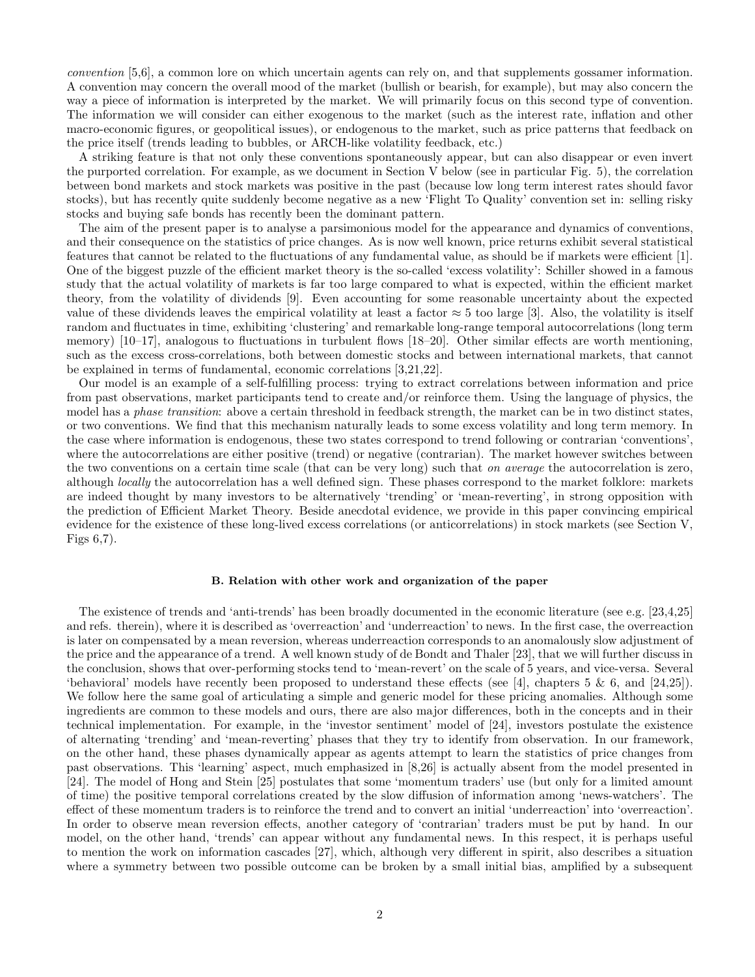convention [5,6], a common lore on which uncertain agents can rely on, and that supplements gossamer information. A convention may concern the overall mood of the market (bullish or bearish, for example), but may also concern the way a piece of information is interpreted by the market. We will primarily focus on this second type of convention. The information we will consider can either exogenous to the market (such as the interest rate, inflation and other macro-economic figures, or geopolitical issues), or endogenous to the market, such as price patterns that feedback on the price itself (trends leading to bubbles, or ARCH-like volatility feedback, etc.)

A striking feature is that not only these conventions spontaneously appear, but can also disappear or even invert the purported correlation. For example, as we document in Section V below (see in particular Fig. 5), the correlation between bond markets and stock markets was positive in the past (because low long term interest rates should favor stocks), but has recently quite suddenly become negative as a new 'Flight To Quality' convention set in: selling risky stocks and buying safe bonds has recently been the dominant pattern.

The aim of the present paper is to analyse a parsimonious model for the appearance and dynamics of conventions, and their consequence on the statistics of price changes. As is now well known, price returns exhibit several statistical features that cannot be related to the fluctuations of any fundamental value, as should be if markets were efficient [1]. One of the biggest puzzle of the efficient market theory is the so-called 'excess volatility': Schiller showed in a famous study that the actual volatility of markets is far too large compared to what is expected, within the efficient market theory, from the volatility of dividends [9]. Even accounting for some reasonable uncertainty about the expected value of these dividends leaves the empirical volatility at least a factor  $\approx 5$  too large [3]. Also, the volatility is itself random and fluctuates in time, exhibiting 'clustering' and remarkable long-range temporal autocorrelations (long term memory) [10–17], analogous to fluctuations in turbulent flows [18–20]. Other similar effects are worth mentioning, such as the excess cross-correlations, both between domestic stocks and between international markets, that cannot be explained in terms of fundamental, economic correlations [3,21,22].

Our model is an example of a self-fulfilling process: trying to extract correlations between information and price from past observations, market participants tend to create and/or reinforce them. Using the language of physics, the model has a *phase transition*: above a certain threshold in feedback strength, the market can be in two distinct states, or two conventions. We find that this mechanism naturally leads to some excess volatility and long term memory. In the case where information is endogenous, these two states correspond to trend following or contrarian 'conventions', where the autocorrelations are either positive (trend) or negative (contrarian). The market however switches between the two conventions on a certain time scale (that can be very long) such that on average the autocorrelation is zero, although locally the autocorrelation has a well defined sign. These phases correspond to the market folklore: markets are indeed thought by many investors to be alternatively 'trending' or 'mean-reverting', in strong opposition with the prediction of Efficient Market Theory. Beside anecdotal evidence, we provide in this paper convincing empirical evidence for the existence of these long-lived excess correlations (or anticorrelations) in stock markets (see Section V, Figs 6,7).

#### B. Relation with other work and organization of the paper

The existence of trends and 'anti-trends' has been broadly documented in the economic literature (see e.g. [23,4,25] and refs. therein), where it is described as 'overreaction' and 'underreaction' to news. In the first case, the overreaction is later on compensated by a mean reversion, whereas underreaction corresponds to an anomalously slow adjustment of the price and the appearance of a trend. A well known study of de Bondt and Thaler [23], that we will further discuss in the conclusion, shows that over-performing stocks tend to 'mean-revert' on the scale of 5 years, and vice-versa. Several 'behavioral' models have recently been proposed to understand these effects (see [4], chapters 5 & 6, and [24,25]). We follow here the same goal of articulating a simple and generic model for these pricing anomalies. Although some ingredients are common to these models and ours, there are also major differences, both in the concepts and in their technical implementation. For example, in the 'investor sentiment' model of [24], investors postulate the existence of alternating 'trending' and 'mean-reverting' phases that they try to identify from observation. In our framework, on the other hand, these phases dynamically appear as agents attempt to learn the statistics of price changes from past observations. This 'learning' aspect, much emphasized in [8,26] is actually absent from the model presented in [24]. The model of Hong and Stein [25] postulates that some 'momentum traders' use (but only for a limited amount of time) the positive temporal correlations created by the slow diffusion of information among 'news-watchers'. The effect of these momentum traders is to reinforce the trend and to convert an initial 'underreaction' into 'overreaction'. In order to observe mean reversion effects, another category of 'contrarian' traders must be put by hand. In our model, on the other hand, 'trends' can appear without any fundamental news. In this respect, it is perhaps useful to mention the work on information cascades [27], which, although very different in spirit, also describes a situation where a symmetry between two possible outcome can be broken by a small initial bias, amplified by a subsequent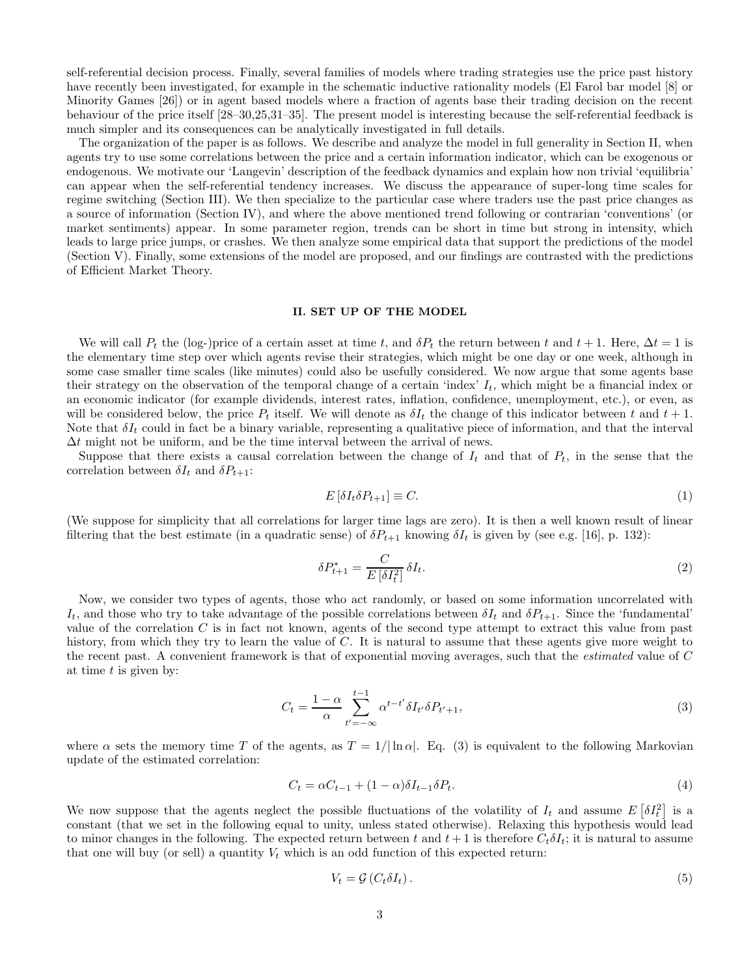self-referential decision process. Finally, several families of models where trading strategies use the price past history have recently been investigated, for example in the schematic inductive rationality models (El Farol bar model [8] or Minority Games [26]) or in agent based models where a fraction of agents base their trading decision on the recent behaviour of the price itself [28–30,25,31–35]. The present model is interesting because the self-referential feedback is much simpler and its consequences can be analytically investigated in full details.

The organization of the paper is as follows. We describe and analyze the model in full generality in Section II, when agents try to use some correlations between the price and a certain information indicator, which can be exogenous or endogenous. We motivate our 'Langevin' description of the feedback dynamics and explain how non trivial 'equilibria' can appear when the self-referential tendency increases. We discuss the appearance of super-long time scales for regime switching (Section III). We then specialize to the particular case where traders use the past price changes as a source of information (Section IV), and where the above mentioned trend following or contrarian 'conventions' (or market sentiments) appear. In some parameter region, trends can be short in time but strong in intensity, which leads to large price jumps, or crashes. We then analyze some empirical data that support the predictions of the model (Section V). Finally, some extensions of the model are proposed, and our findings are contrasted with the predictions of Efficient Market Theory.

## II. SET UP OF THE MODEL

We will call  $P_t$  the (log-)price of a certain asset at time t, and  $\delta P_t$  the return between t and  $t + 1$ . Here,  $\Delta t = 1$  is the elementary time step over which agents revise their strategies, which might be one day or one week, although in some case smaller time scales (like minutes) could also be usefully considered. We now argue that some agents base their strategy on the observation of the temporal change of a certain 'index'  $I_t$ , which might be a financial index or an economic indicator (for example dividends, interest rates, inflation, confidence, unemployment, etc.), or even, as will be considered below, the price  $P_t$  itself. We will denote as  $\delta I_t$  the change of this indicator between t and  $t + 1$ . Note that  $\delta I_t$  could in fact be a binary variable, representing a qualitative piece of information, and that the interval  $\Delta t$  might not be uniform, and be the time interval between the arrival of news.

Suppose that there exists a causal correlation between the change of  $I_t$  and that of  $P_t$ , in the sense that the correlation between  $\delta I_t$  and  $\delta P_{t+1}$ :

$$
E\left[\delta I_t \delta P_{t+1}\right] \equiv C. \tag{1}
$$

(We suppose for simplicity that all correlations for larger time lags are zero). It is then a well known result of linear filtering that the best estimate (in a quadratic sense) of  $\delta P_{t+1}$  knowing  $\delta I_t$  is given by (see e.g. [16], p. 132):

$$
\delta P_{t+1}^* = \frac{C}{E \left[ \delta I_t^2 \right]} \delta I_t. \tag{2}
$$

Now, we consider two types of agents, those who act randomly, or based on some information uncorrelated with  $I_t$ , and those who try to take advantage of the possible correlations between  $\delta I_t$  and  $\delta P_{t+1}$ . Since the 'fundamental' value of the correlation  $C$  is in fact not known, agents of the second type attempt to extract this value from past history, from which they try to learn the value of C. It is natural to assume that these agents give more weight to the recent past. A convenient framework is that of exponential moving averages, such that the estimated value of C at time  $t$  is given by:

$$
C_t = \frac{1 - \alpha}{\alpha} \sum_{t' = -\infty}^{t-1} \alpha^{t-t'} \delta I_{t'} \delta P_{t'+1},\tag{3}
$$

where  $\alpha$  sets the memory time T of the agents, as  $T = 1/|\ln \alpha|$ . Eq. (3) is equivalent to the following Markovian update of the estimated correlation:

$$
C_t = \alpha C_{t-1} + (1 - \alpha)\delta I_{t-1}\delta P_t.
$$
\n<sup>(4)</sup>

We now suppose that the agents neglect the possible fluctuations of the volatility of  $I_t$  and assume  $E\left[\delta I_t^2\right]$  is a constant (that we set in the following equal to unity, unless stated otherwise). Relaxing this hypothesis would lead to minor changes in the following. The expected return between t and  $t + 1$  is therefore  $C_t \delta I_t$ ; it is natural to assume that one will buy (or sell) a quantity  $V_t$  which is an odd function of this expected return:

$$
V_t = \mathcal{G}(C_t \delta I_t). \tag{5}
$$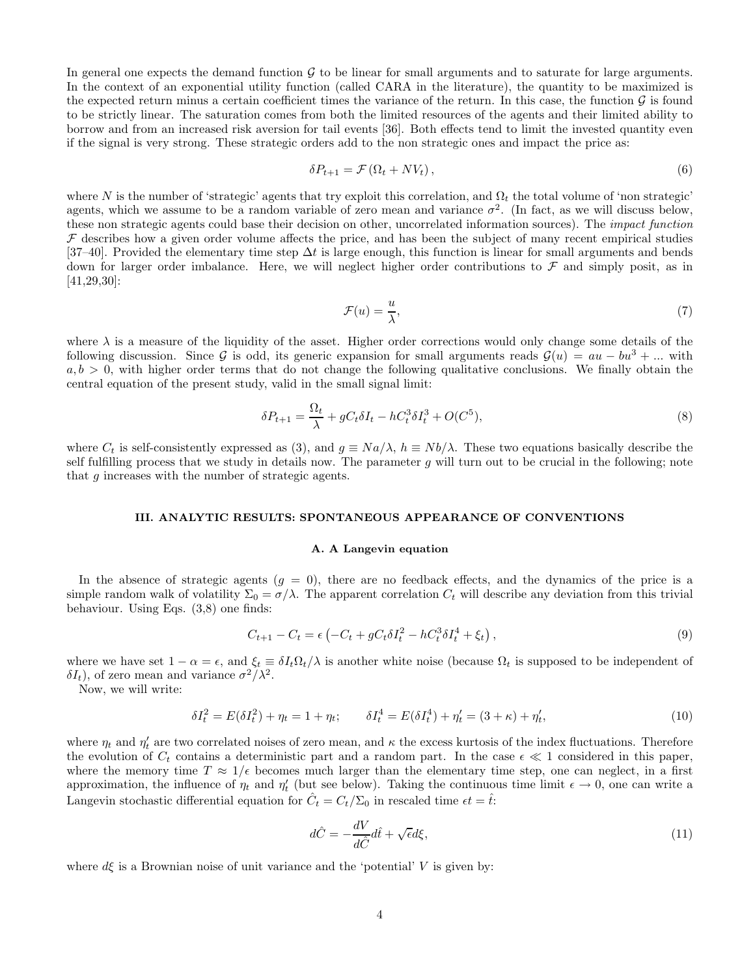In general one expects the demand function  $G$  to be linear for small arguments and to saturate for large arguments. In the context of an exponential utility function (called CARA in the literature), the quantity to be maximized is the expected return minus a certain coefficient times the variance of the return. In this case, the function  $\mathcal G$  is found to be strictly linear. The saturation comes from both the limited resources of the agents and their limited ability to borrow and from an increased risk aversion for tail events [36]. Both effects tend to limit the invested quantity even if the signal is very strong. These strategic orders add to the non strategic ones and impact the price as:

$$
\delta P_{t+1} = \mathcal{F} \left( \Omega_t + N V_t \right), \tag{6}
$$

where N is the number of 'strategic' agents that try exploit this correlation, and  $\Omega_t$  the total volume of 'non strategic' agents, which we assume to be a random variable of zero mean and variance  $\sigma^2$ . (In fact, as we will discuss below, these non strategic agents could base their decision on other, uncorrelated information sources). The *impact function*  $\mathcal F$  describes how a given order volume affects the price, and has been the subject of many recent empirical studies [37–40]. Provided the elementary time step  $\Delta t$  is large enough, this function is linear for small arguments and bends down for larger order imbalance. Here, we will neglect higher order contributions to  $\mathcal F$  and simply posit, as in [41,29,30]:

$$
\mathcal{F}(u) = \frac{u}{\lambda},\tag{7}
$$

where  $\lambda$  is a measure of the liquidity of the asset. Higher order corrections would only change some details of the following discussion. Since G is odd, its generic expansion for small arguments reads  $\mathcal{G}(u) = au - bu^3 + ...$  with  $a, b > 0$ , with higher order terms that do not change the following qualitative conclusions. We finally obtain the central equation of the present study, valid in the small signal limit:

$$
\delta P_{t+1} = \frac{\Omega_t}{\lambda} + gC_t \delta I_t - hC_t^3 \delta I_t^3 + O(C^5),\tag{8}
$$

where  $C_t$  is self-consistently expressed as (3), and  $g \equiv Na/\lambda$ ,  $h \equiv Nb/\lambda$ . These two equations basically describe the self fulfilling process that we study in details now. The parameter  $g$  will turn out to be crucial in the following; note that g increases with the number of strategic agents.

## III. ANALYTIC RESULTS: SPONTANEOUS APPEARANCE OF CONVENTIONS

#### A. A Langevin equation

In the absence of strategic agents  $(g = 0)$ , there are no feedback effects, and the dynamics of the price is a simple random walk of volatility  $\Sigma_0 = \sigma/\lambda$ . The apparent correlation  $C_t$  will describe any deviation from this trivial behaviour. Using Eqs. (3,8) one finds:

$$
C_{t+1} - C_t = \epsilon \left( -C_t + gC_t \delta I_t^2 - hC_t^3 \delta I_t^4 + \xi_t \right),
$$
\n(9)

where we have set  $1 - \alpha = \epsilon$ , and  $\xi_t \equiv \delta I_t \Omega_t / \lambda$  is another white noise (because  $\Omega_t$  is supposed to be independent of  $\delta I_t$ ), of zero mean and variance  $\sigma^2/\lambda^2$ .

Now, we will write:

$$
\delta I_t^2 = E(\delta I_t^2) + \eta_t = 1 + \eta_t; \qquad \delta I_t^4 = E(\delta I_t^4) + \eta'_t = (3 + \kappa) + \eta'_t,\tag{10}
$$

where  $\eta_t$  and  $\eta'_t$  are two correlated noises of zero mean, and  $\kappa$  the excess kurtosis of the index fluctuations. Therefore the evolution of  $C_t$  contains a deterministic part and a random part. In the case  $\epsilon \ll 1$  considered in this paper, where the memory time  $T \approx 1/\epsilon$  becomes much larger than the elementary time step, one can neglect, in a first approximation, the influence of  $\eta_t$  and  $\eta'_t$  (but see below). Taking the continuous time limit  $\epsilon \to 0$ , one can write a Langevin stochastic differential equation for  $\hat{C}_t = C_t / \Sigma_0$  in rescaled time  $\epsilon t = \hat{t}$ :

$$
d\hat{C} = -\frac{dV}{d\hat{C}}d\hat{t} + \sqrt{\epsilon}d\xi,
$$
\n(11)

where  $d\xi$  is a Brownian noise of unit variance and the 'potential' V is given by: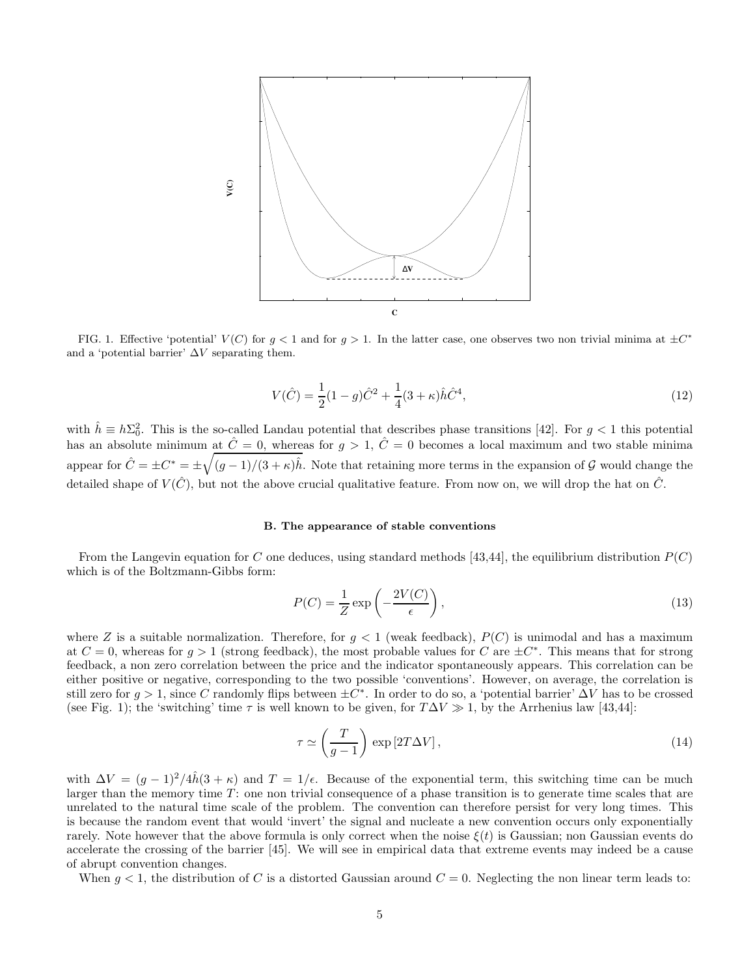

FIG. 1. Effective 'potential'  $V(C)$  for  $g < 1$  and for  $g > 1$ . In the latter case, one observes two non trivial minima at  $\pm C^*$ and a 'potential barrier'  $\Delta V$  separating them.

$$
V(\hat{C}) = \frac{1}{2}(1-g)\hat{C}^2 + \frac{1}{4}(3+\kappa)\hat{h}\hat{C}^4,
$$
\n(12)

with  $\hat{h} \equiv h\Sigma_0^2$ . This is the so-called Landau potential that describes phase transitions [42]. For  $g < 1$  this potential has an absolute minimum at  $\hat{C}=0$ , whereas for  $g > 1$ ,  $\hat{C}=0$  becomes a local maximum and two stable minima appear for  $\hat{C} = \pm C^* = \pm \sqrt{(g-1)/(3+\kappa)\hat{h}}$ . Note that retaining more terms in the expansion of G would change the detailed shape of  $V(\hat{C})$ , but not the above crucial qualitative feature. From now on, we will drop the hat on  $\hat{C}$ .

#### B. The appearance of stable conventions

From the Langevin equation for C one deduces, using standard methods [43,44], the equilibrium distribution  $P(C)$ which is of the Boltzmann-Gibbs form:

$$
P(C) = \frac{1}{Z} \exp\left(-\frac{2V(C)}{\epsilon}\right),\tag{13}
$$

where Z is a suitable normalization. Therefore, for  $g < 1$  (weak feedback),  $P(C)$  is unimodal and has a maximum at  $C = 0$ , whereas for  $g > 1$  (strong feedback), the most probable values for C are  $\pm C^*$ . This means that for strong feedback, a non zero correlation between the price and the indicator spontaneously appears. This correlation can be either positive or negative, corresponding to the two possible 'conventions'. However, on average, the correlation is still zero for  $g > 1$ , since C randomly flips between  $\pm C^*$ . In order to do so, a 'potential barrier'  $\Delta V$  has to be crossed (see Fig. 1); the 'switching' time  $\tau$  is well known to be given, for  $T\Delta V \gg 1$ , by the Arrhenius law [43,44]:

$$
\tau \simeq \left(\frac{T}{g-1}\right) \exp\left[2T\Delta V\right],\tag{14}
$$

with  $\Delta V = (g-1)^2/4\hat{h}(3+\kappa)$  and  $T = 1/\epsilon$ . Because of the exponential term, this switching time can be much larger than the memory time  $T$ : one non trivial consequence of a phase transition is to generate time scales that are unrelated to the natural time scale of the problem. The convention can therefore persist for very long times. This is because the random event that would 'invert' the signal and nucleate a new convention occurs only exponentially rarely. Note however that the above formula is only correct when the noise  $\xi(t)$  is Gaussian; non Gaussian events do accelerate the crossing of the barrier [45]. We will see in empirical data that extreme events may indeed be a cause of abrupt convention changes.

When  $g < 1$ , the distribution of C is a distorted Gaussian around  $C = 0$ . Neglecting the non linear term leads to: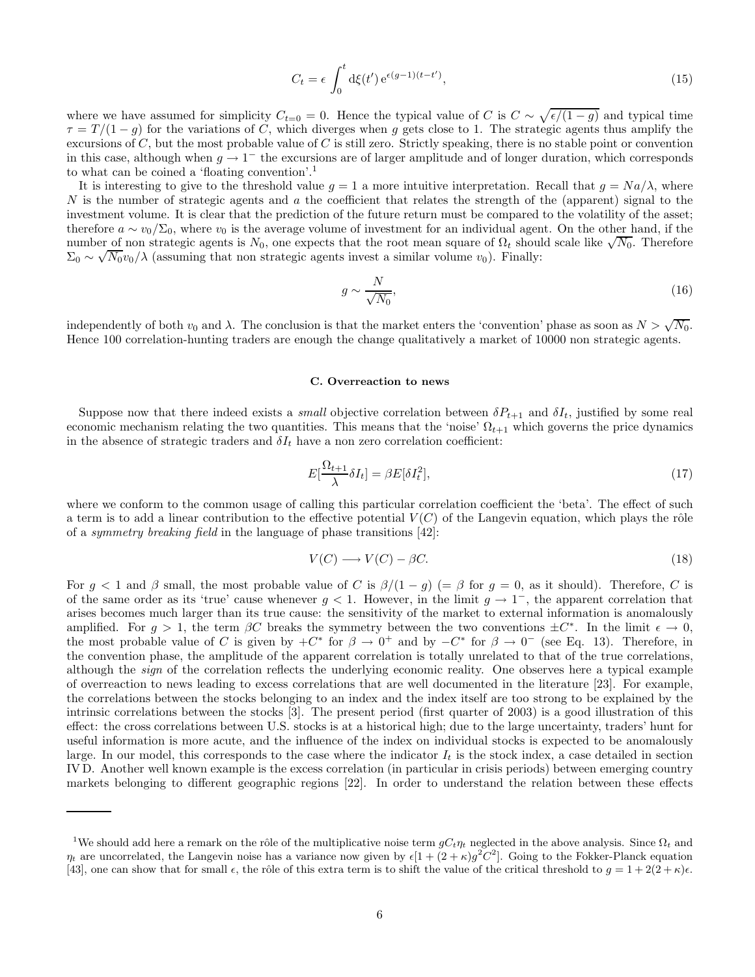$$
C_t = \epsilon \int_0^t \mathrm{d}\xi(t') \,\mathrm{e}^{\epsilon(g-1)(t-t')},\tag{15}
$$

where we have assumed for simplicity  $C_{t=0} = 0$ . Hence the typical value of C is  $C \sim \sqrt{\epsilon/(1-g)}$  and typical time  $\tau = T/(1-g)$  for the variations of C, which diverges when g gets close to 1. The strategic agents thus amplify the excursions of  $C$ , but the most probable value of  $C$  is still zero. Strictly speaking, there is no stable point or convention in this case, although when  $g \to 1^-$  the excursions are of larger amplitude and of longer duration, which corresponds to what can be coined a 'floating convention'.<sup>1</sup>

It is interesting to give to the threshold value  $g = 1$  a more intuitive interpretation. Recall that  $g = Na/\lambda$ , where N is the number of strategic agents and a the coefficient that relates the strength of the (apparent) signal to the investment volume. It is clear that the prediction of the future return must be compared to the volatility of the asset; therefore  $a \sim v_0/\Sigma_0$ , where  $v_0$  is the average volume of investment for an individual agent. On the other hand, if the number of non strategic agents is  $N_0$ , one expects that the root mean square of  $\Omega_t$  should scale like  $\sqrt{N_0}$ . Therefore  $\Sigma_0 \sim \sqrt{N_0} v_0 / \lambda$  (assuming that non strategic agents invest a similar volume  $v_0$ ). Finally:

$$
g \sim \frac{N}{\sqrt{N_0}},\tag{16}
$$

independently of both  $v_0$  and  $\lambda$ . The conclusion is that the market enters the 'convention' phase as soon as  $N > \sqrt{N_0}$ . Hence 100 correlation-hunting traders are enough the change qualitatively a market of 10000 non strategic agents.

#### C. Overreaction to news

Suppose now that there indeed exists a *small* objective correlation between  $\delta P_{t+1}$  and  $\delta I_t$ , justified by some real economic mechanism relating the two quantities. This means that the 'noise'  $\Omega_{t+1}$  which governs the price dynamics in the absence of strategic traders and  $\delta I_t$  have a non zero correlation coefficient:

$$
E[\frac{\Omega_{t+1}}{\lambda} \delta I_t] = \beta E[\delta I_t^2],\tag{17}
$$

where we conform to the common usage of calling this particular correlation coefficient the 'beta'. The effect of such a term is to add a linear contribution to the effective potential  $V(C)$  of the Langevin equation, which plays the rôle of a *symmetry breaking field* in the language of phase transitions  $[42]$ :

$$
V(C) \longrightarrow V(C) - \beta C. \tag{18}
$$

For  $g < 1$  and  $\beta$  small, the most probable value of C is  $\beta/(1 - g)$  (=  $\beta$  for  $g = 0$ , as it should). Therefore, C is of the same order as its 'true' cause whenever  $g < 1$ . However, in the limit  $g \to 1^-$ , the apparent correlation that arises becomes much larger than its true cause: the sensitivity of the market to external information is anomalously amplified. For  $g > 1$ , the term  $\beta C$  breaks the symmetry between the two conventions  $\pm C^*$ . In the limit  $\epsilon \to 0$ , the most probable value of C is given by  $+C^*$  for  $\beta \to 0^+$  and by  $-C^*$  for  $\beta \to 0^-$  (see Eq. 13). Therefore, in the convention phase, the amplitude of the apparent correlation is totally unrelated to that of the true correlations, although the sign of the correlation reflects the underlying economic reality. One observes here a typical example of overreaction to news leading to excess correlations that are well documented in the literature [23]. For example, the correlations between the stocks belonging to an index and the index itself are too strong to be explained by the intrinsic correlations between the stocks [3]. The present period (first quarter of 2003) is a good illustration of this effect: the cross correlations between U.S. stocks is at a historical high; due to the large uncertainty, traders' hunt for useful information is more acute, and the influence of the index on individual stocks is expected to be anomalously large. In our model, this corresponds to the case where the indicator  $I_t$  is the stock index, a case detailed in section IV D. Another well known example is the excess correlation (in particular in crisis periods) between emerging country markets belonging to different geographic regions [22]. In order to understand the relation between these effects

<sup>&</sup>lt;sup>1</sup>We should add here a remark on the rôle of the multiplicative noise term  $qC_t\eta_t$  neglected in the above analysis. Since  $\Omega_t$  and  $\eta_t$  are uncorrelated, the Langevin noise has a variance now given by  $\epsilon[1+(2+\kappa)g^2C^2]$ . Going to the Fokker-Planck equation [43], one can show that for small  $\epsilon$ , the rôle of this extra term is to shift the value of the critical threshold to  $g = 1 + 2(2 + \kappa)\epsilon$ .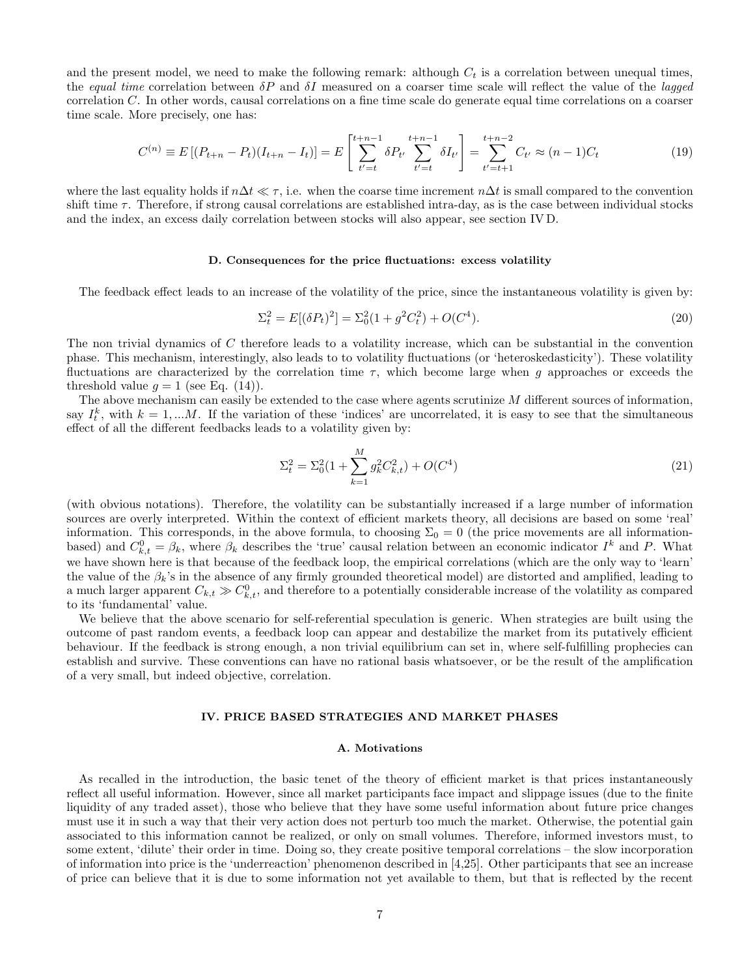and the present model, we need to make the following remark: although  $C_t$  is a correlation between unequal times, the equal time correlation between  $\delta P$  and  $\delta I$  measured on a coarser time scale will reflect the value of the lagged correlation C. In other words, causal correlations on a fine time scale do generate equal time correlations on a coarser time scale. More precisely, one has:

$$
C^{(n)} \equiv E\left[ (P_{t+n} - P_t)(I_{t+n} - I_t) \right] = E\left[ \sum_{t'=t}^{t+n-1} \delta P_{t'} \sum_{t'=t}^{t+n-1} \delta I_{t'} \right] = \sum_{t'=t+1}^{t+n-2} C_{t'} \approx (n-1)C_t
$$
\n(19)

where the last equality holds if  $n\Delta t \ll \tau$ , i.e. when the coarse time increment  $n\Delta t$  is small compared to the convention shift time  $\tau$ . Therefore, if strong causal correlations are established intra-day, as is the case between individual stocks and the index, an excess daily correlation between stocks will also appear, see section IV D.

#### D. Consequences for the price fluctuations: excess volatility

The feedback effect leads to an increase of the volatility of the price, since the instantaneous volatility is given by:

$$
\Sigma_t^2 = E[(\delta P_t)^2] = \Sigma_0^2 (1 + g^2 C_t^2) + O(C^4). \tag{20}
$$

The non trivial dynamics of C therefore leads to a volatility increase, which can be substantial in the convention phase. This mechanism, interestingly, also leads to to volatility fluctuations (or 'heteroskedasticity'). These volatility fluctuations are characterized by the correlation time  $\tau$ , which become large when g approaches or exceeds the threshold value  $g = 1$  (see Eq. (14)).

The above mechanism can easily be extended to the case where agents scrutinize M different sources of information, say  $I_t^k$ , with  $k = 1,...M$ . If the variation of these 'indices' are uncorrelated, it is easy to see that the simultaneous effect of all the different feedbacks leads to a volatility given by:

$$
\Sigma_t^2 = \Sigma_0^2 (1 + \sum_{k=1}^M g_k^2 C_{k,t}^2) + O(C^4)
$$
\n(21)

(with obvious notations). Therefore, the volatility can be substantially increased if a large number of information sources are overly interpreted. Within the context of efficient markets theory, all decisions are based on some 'real' information. This corresponds, in the above formula, to choosing  $\Sigma_0 = 0$  (the price movements are all informationbased) and  $C_{k,t}^0 = \beta_k$ , where  $\beta_k$  describes the 'true' causal relation between an economic indicator  $I^k$  and P. What we have shown here is that because of the feedback loop, the empirical correlations (which are the only way to 'learn' the value of the  $\beta_k$ 's in the absence of any firmly grounded theoretical model) are distorted and amplified, leading to a much larger apparent  $C_{k,t} \gg C_{k,t}^0$ , and therefore to a potentially considerable increase of the volatility as compared to its 'fundamental' value.

We believe that the above scenario for self-referential speculation is generic. When strategies are built using the outcome of past random events, a feedback loop can appear and destabilize the market from its putatively efficient behaviour. If the feedback is strong enough, a non trivial equilibrium can set in, where self-fulfilling prophecies can establish and survive. These conventions can have no rational basis whatsoever, or be the result of the amplification of a very small, but indeed objective, correlation.

#### IV. PRICE BASED STRATEGIES AND MARKET PHASES

#### A. Motivations

As recalled in the introduction, the basic tenet of the theory of efficient market is that prices instantaneously reflect all useful information. However, since all market participants face impact and slippage issues (due to the finite liquidity of any traded asset), those who believe that they have some useful information about future price changes must use it in such a way that their very action does not perturb too much the market. Otherwise, the potential gain associated to this information cannot be realized, or only on small volumes. Therefore, informed investors must, to some extent, 'dilute' their order in time. Doing so, they create positive temporal correlations – the slow incorporation of information into price is the 'underreaction' phenomenon described in [4,25]. Other participants that see an increase of price can believe that it is due to some information not yet available to them, but that is reflected by the recent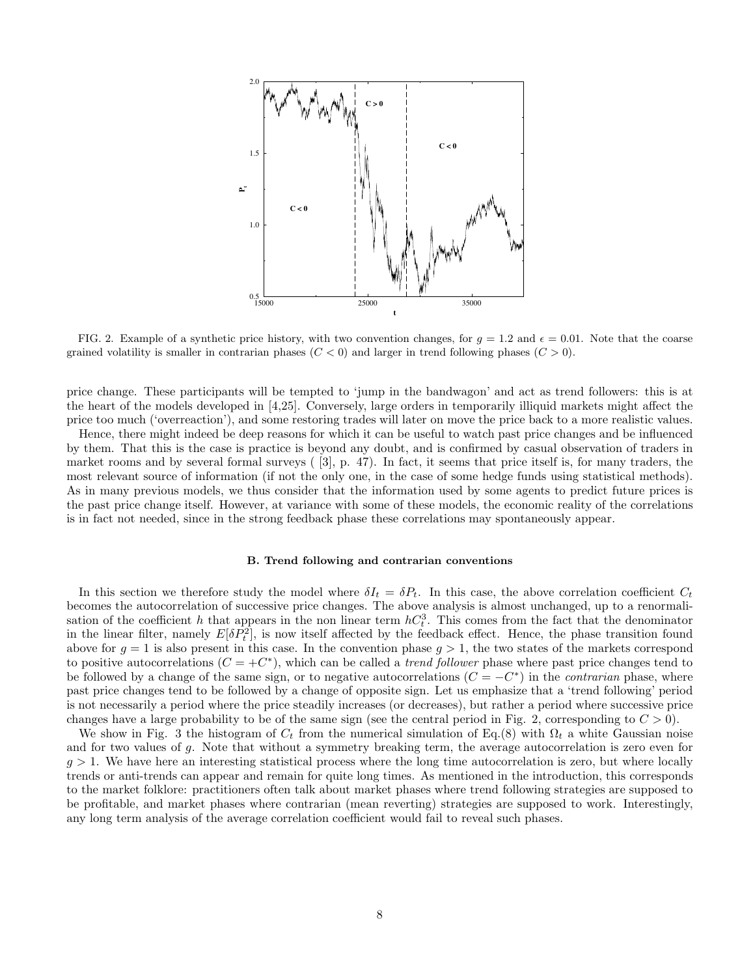

FIG. 2. Example of a synthetic price history, with two convention changes, for  $g = 1.2$  and  $\epsilon = 0.01$ . Note that the coarse grained volatility is smaller in contrarian phases  $(C < 0)$  and larger in trend following phases  $(C > 0)$ .

price change. These participants will be tempted to 'jump in the bandwagon' and act as trend followers: this is at the heart of the models developed in [4,25]. Conversely, large orders in temporarily illiquid markets might affect the price too much ('overreaction'), and some restoring trades will later on move the price back to a more realistic values.

Hence, there might indeed be deep reasons for which it can be useful to watch past price changes and be influenced by them. That this is the case is practice is beyond any doubt, and is confirmed by casual observation of traders in market rooms and by several formal surveys ( [3], p. 47). In fact, it seems that price itself is, for many traders, the most relevant source of information (if not the only one, in the case of some hedge funds using statistical methods). As in many previous models, we thus consider that the information used by some agents to predict future prices is the past price change itself. However, at variance with some of these models, the economic reality of the correlations is in fact not needed, since in the strong feedback phase these correlations may spontaneously appear.

#### B. Trend following and contrarian conventions

In this section we therefore study the model where  $\delta I_t = \delta P_t$ . In this case, the above correlation coefficient  $C_t$ becomes the autocorrelation of successive price changes. The above analysis is almost unchanged, up to a renormalisation of the coefficient h that appears in the non linear term  $hC_t^3$ . This comes from the fact that the denominator in the linear filter, namely  $E[\delta P_t^2]$ , is now itself affected by the feedback effect. Hence, the phase transition found above for  $g = 1$  is also present in this case. In the convention phase  $g > 1$ , the two states of the markets correspond to positive autocorrelations  $(C = +C^*)$ , which can be called a *trend follower* phase where past price changes tend to be followed by a change of the same sign, or to negative autocorrelations  $(C = -C^*)$  in the *contrarian* phase, where past price changes tend to be followed by a change of opposite sign. Let us emphasize that a 'trend following' period is not necessarily a period where the price steadily increases (or decreases), but rather a period where successive price changes have a large probability to be of the same sign (see the central period in Fig. 2, corresponding to  $C > 0$ ).

We show in Fig. 3 the histogram of  $C_t$  from the numerical simulation of Eq.(8) with  $\Omega_t$  a white Gaussian noise and for two values of g. Note that without a symmetry breaking term, the average autocorrelation is zero even for  $g > 1$ . We have here an interesting statistical process where the long time autocorrelation is zero, but where locally trends or anti-trends can appear and remain for quite long times. As mentioned in the introduction, this corresponds to the market folklore: practitioners often talk about market phases where trend following strategies are supposed to be profitable, and market phases where contrarian (mean reverting) strategies are supposed to work. Interestingly, any long term analysis of the average correlation coefficient would fail to reveal such phases.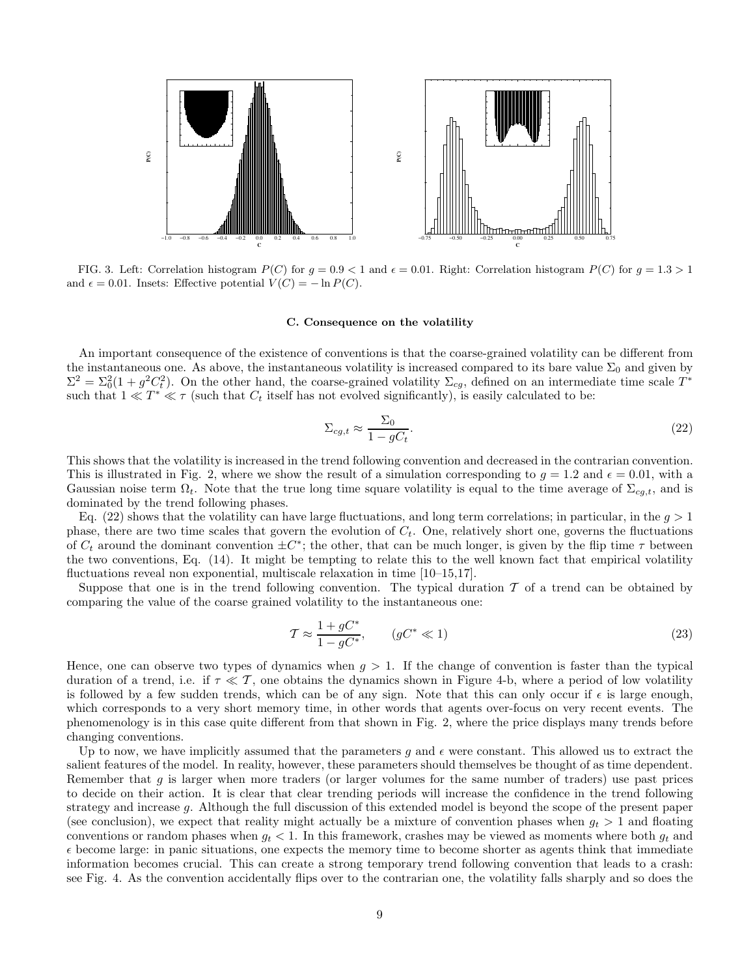

FIG. 3. Left: Correlation histogram  $P(C)$  for  $g = 0.9 < 1$  and  $\epsilon = 0.01$ . Right: Correlation histogram  $P(C)$  for  $g = 1.3 > 1$ and  $\epsilon = 0.01$ . Insets: Effective potential  $V(C) = -\ln P(C)$ .

#### C. Consequence on the volatility

An important consequence of the existence of conventions is that the coarse-grained volatility can be different from the instantaneous one. As above, the instantaneous volatility is increased compared to its bare value  $\Sigma_0$  and given by  $\Sigma^2 = \Sigma_0^2(1 + g^2C_t^2)$ . On the other hand, the coarse-grained volatility  $\Sigma_{cg}$ , defined on an intermediate time scale  $T^*$ such that  $1 \ll T^* \ll \tau$  (such that  $C_t$  itself has not evolved significantly), is easily calculated to be:

$$
\Sigma_{cg,t} \approx \frac{\Sigma_0}{1 - gC_t}.\tag{22}
$$

This shows that the volatility is increased in the trend following convention and decreased in the contrarian convention. This is illustrated in Fig. 2, where we show the result of a simulation corresponding to  $g = 1.2$  and  $\epsilon = 0.01$ , with a Gaussian noise term  $\Omega_t$ . Note that the true long time square volatility is equal to the time average of  $\Sigma_{cg,t}$ , and is dominated by the trend following phases.

Eq. (22) shows that the volatility can have large fluctuations, and long term correlations; in particular, in the  $q > 1$ phase, there are two time scales that govern the evolution of  $C_t$ . One, relatively short one, governs the fluctuations of  $C_t$  around the dominant convention  $\pm C^*$ ; the other, that can be much longer, is given by the flip time  $\tau$  between the two conventions, Eq. (14). It might be tempting to relate this to the well known fact that empirical volatility fluctuations reveal non exponential, multiscale relaxation in time [10–15,17].

Suppose that one is in the trend following convention. The typical duration  $\mathcal T$  of a trend can be obtained by comparing the value of the coarse grained volatility to the instantaneous one:

$$
\mathcal{T} \approx \frac{1 + gC^*}{1 - gC^*}, \qquad (gC^* \ll 1)
$$
\n
$$
(23)
$$

Hence, one can observe two types of dynamics when  $g > 1$ . If the change of convention is faster than the typical duration of a trend, i.e. if  $\tau \ll T$ , one obtains the dynamics shown in Figure 4-b, where a period of low volatility is followed by a few sudden trends, which can be of any sign. Note that this can only occur if  $\epsilon$  is large enough, which corresponds to a very short memory time, in other words that agents over-focus on very recent events. The phenomenology is in this case quite different from that shown in Fig. 2, where the price displays many trends before changing conventions.

Up to now, we have implicitly assumed that the parameters g and  $\epsilon$  were constant. This allowed us to extract the salient features of the model. In reality, however, these parameters should themselves be thought of as time dependent. Remember that  $g$  is larger when more traders (or larger volumes for the same number of traders) use past prices to decide on their action. It is clear that clear trending periods will increase the confidence in the trend following strategy and increase g. Although the full discussion of this extended model is beyond the scope of the present paper (see conclusion), we expect that reality might actually be a mixture of convention phases when  $g_t > 1$  and floating conventions or random phases when  $g_t < 1$ . In this framework, crashes may be viewed as moments where both  $g_t$  and  $\epsilon$  become large: in panic situations, one expects the memory time to become shorter as agents think that immediate information becomes crucial. This can create a strong temporary trend following convention that leads to a crash: see Fig. 4. As the convention accidentally flips over to the contrarian one, the volatility falls sharply and so does the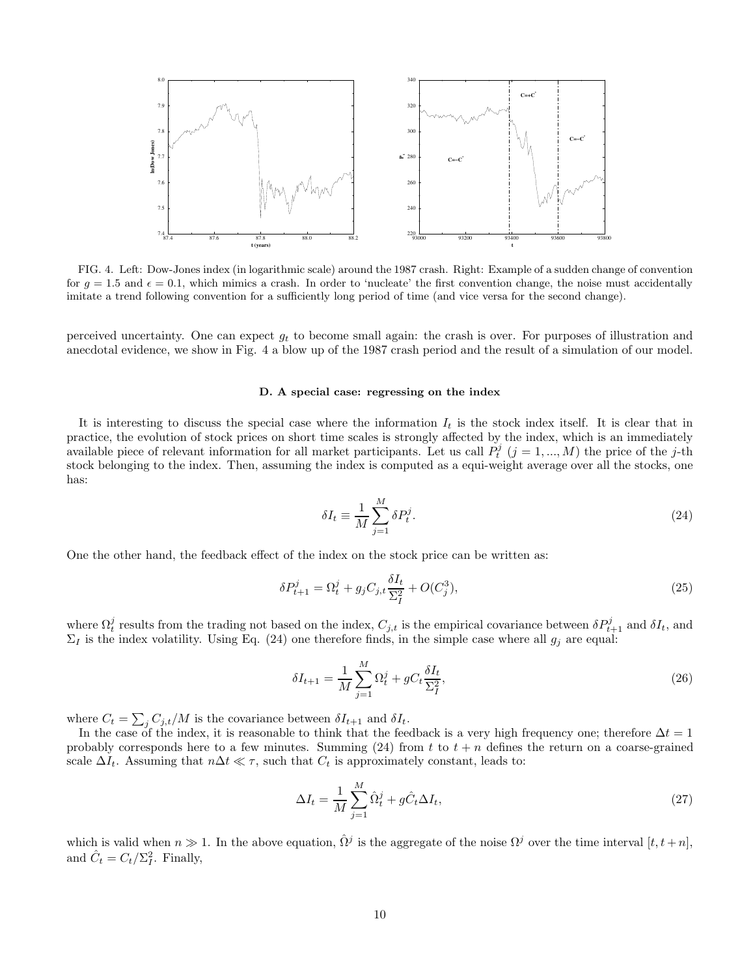

FIG. 4. Left: Dow-Jones index (in logarithmic scale) around the 1987 crash. Right: Example of a sudden change of convention for  $q = 1.5$  and  $\epsilon = 0.1$ , which mimics a crash. In order to 'nucleate' the first convention change, the noise must accidentally imitate a trend following convention for a sufficiently long period of time (and vice versa for the second change).

perceived uncertainty. One can expect  $g_t$  to become small again: the crash is over. For purposes of illustration and anecdotal evidence, we show in Fig. 4 a blow up of the 1987 crash period and the result of a simulation of our model.

# D. A special case: regressing on the index

It is interesting to discuss the special case where the information  $I_t$  is the stock index itself. It is clear that in practice, the evolution of stock prices on short time scales is strongly affected by the index, which is an immediately available piece of relevant information for all market participants. Let us call  $P_t^j$   $(j = 1, ..., M)$  the price of the j-th stock belonging to the index. Then, assuming the index is computed as a equi-weight average over all the stocks, one has:

$$
\delta I_t \equiv \frac{1}{M} \sum_{j=1}^{M} \delta P_t^j. \tag{24}
$$

One the other hand, the feedback effect of the index on the stock price can be written as:

$$
\delta P_{t+1}^j = \Omega_t^j + g_j C_{j,t} \frac{\delta I_t}{\Sigma_I^2} + O(C_j^3),\tag{25}
$$

where  $\Omega_t^j$  results from the trading not based on the index,  $C_{j,t}$  is the empirical covariance between  $\delta P_{t+1}^j$  and  $\delta I_t$ , and  $\Sigma_I$  is the index volatility. Using Eq. (24) one therefore finds, in the simple case where all  $g_j$  are equal:

$$
\delta I_{t+1} = \frac{1}{M} \sum_{j=1}^{M} \Omega_t^j + g C_t \frac{\delta I_t}{\Sigma_I^2},\tag{26}
$$

where  $C_t = \sum_j C_{j,t}/M$  is the covariance between  $\delta I_{t+1}$  and  $\delta I_t$ .

In the case of the index, it is reasonable to think that the feedback is a very high frequency one; therefore  $\Delta t = 1$ probably corresponds here to a few minutes. Summing (24) from t to  $t + n$  defines the return on a coarse-grained scale  $\Delta I_t$ . Assuming that  $n\Delta t \ll \tau$ , such that  $C_t$  is approximately constant, leads to:

$$
\Delta I_t = \frac{1}{M} \sum_{j=1}^{M} \hat{\Omega}_t^j + g \hat{C}_t \Delta I_t,
$$
\n(27)

which is valid when  $n \gg 1$ . In the above equation,  $\hat{\Omega}^j$  is the aggregate of the noise  $\Omega^j$  over the time interval  $[t, t + n]$ , and  $\hat{C}_t = C_t / \Sigma_I^2$ . Finally,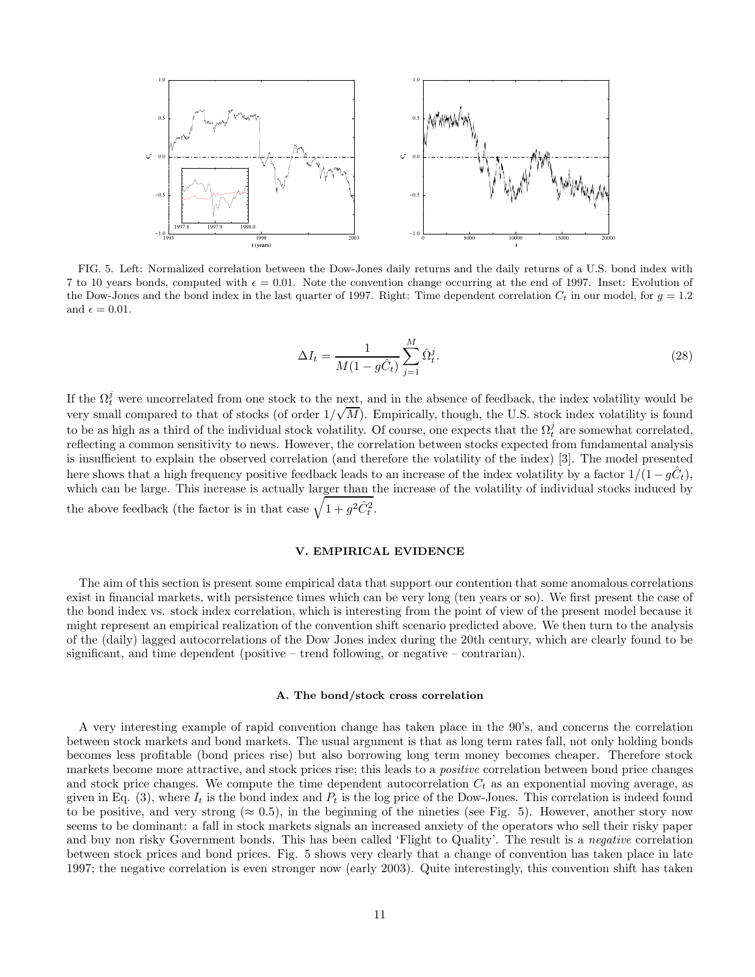

FIG. 5. Left: Normalized correlation between the Dow-Jones daily returns and the daily returns of a U.S. bond index with 7 to 10 years bonds, computed with  $\epsilon = 0.01$ . Note the convention change occurring at the end of 1997. Inset: Evolution of the Dow-Jones and the bond index in the last quarter of 1997. Right: Time dependent correlation  $C_t$  in our model, for  $g = 1.2$ and  $\epsilon = 0.01$ .

$$
\Delta I_t = \frac{1}{M(1 - g\hat{C}_t)} \sum_{j=1}^{M} \hat{\Omega}_t^j.
$$
\n(28)

If the  $\Omega_t^j$  were uncorrelated from one stock to the next, and in the absence of feedback, the index volatility would be very small compared to that of stocks (of order  $1/\sqrt{M}$ ). Empirically, though, the U.S. stock index volatility is found to be as high as a third of the individual stock volatility. Of course, one expects that the  $\Omega_t^j$  are somewhat correlated, reflecting a common sensitivity to news. However, the correlation between stocks expected from fundamental analysis is insufficient to explain the observed correlation (and therefore the volatility of the index) [3]. The model presented here shows that a high frequency positive feedback leads to an increase of the index volatility by a factor  $1/(1 - g\hat{C}_t)$ , which can be large. This increase is actually larger than the increase of the volatility of individual stocks induced by the above feedback (the factor is in that case  $\sqrt{1 + g^2 \hat{C}_t^2}$ .

# V. EMPIRICAL EVIDENCE

The aim of this section is present some empirical data that support our contention that some anomalous correlations exist in financial markets, with persistence times which can be very long (ten years or so). We first present the case of the bond index vs. stock index correlation, which is interesting from the point of view of the present model because it might represent an empirical realization of the convention shift scenario predicted above. We then turn to the analysis of the (daily) lagged autocorrelations of the Dow Jones index during the 20th century, which are clearly found to be significant, and time dependent (positive – trend following, or negative – contrarian).

#### A. The bond/stock cross correlation

A very interesting example of rapid convention change has taken place in the 90's, and concerns the correlation between stock markets and bond markets. The usual argument is that as long term rates fall, not only holding bonds becomes less profitable (bond prices rise) but also borrowing long term money becomes cheaper. Therefore stock markets become more attractive, and stock prices rise; this leads to a *positive* correlation between bond price changes and stock price changes. We compute the time dependent autocorrelation  $C_t$  as an exponential moving average, as given in Eq. (3), where  $I_t$  is the bond index and  $P_t$  is the log price of the Dow-Jones. This correlation is indeed found to be positive, and very strong ( $\approx 0.5$ ), in the beginning of the nineties (see Fig. 5). However, another story now seems to be dominant: a fall in stock markets signals an increased anxiety of the operators who sell their risky paper and buy non risky Government bonds. This has been called 'Flight to Quality'. The result is a negative correlation between stock prices and bond prices. Fig. 5 shows very clearly that a change of convention has taken place in late 1997; the negative correlation is even stronger now (early 2003). Quite interestingly, this convention shift has taken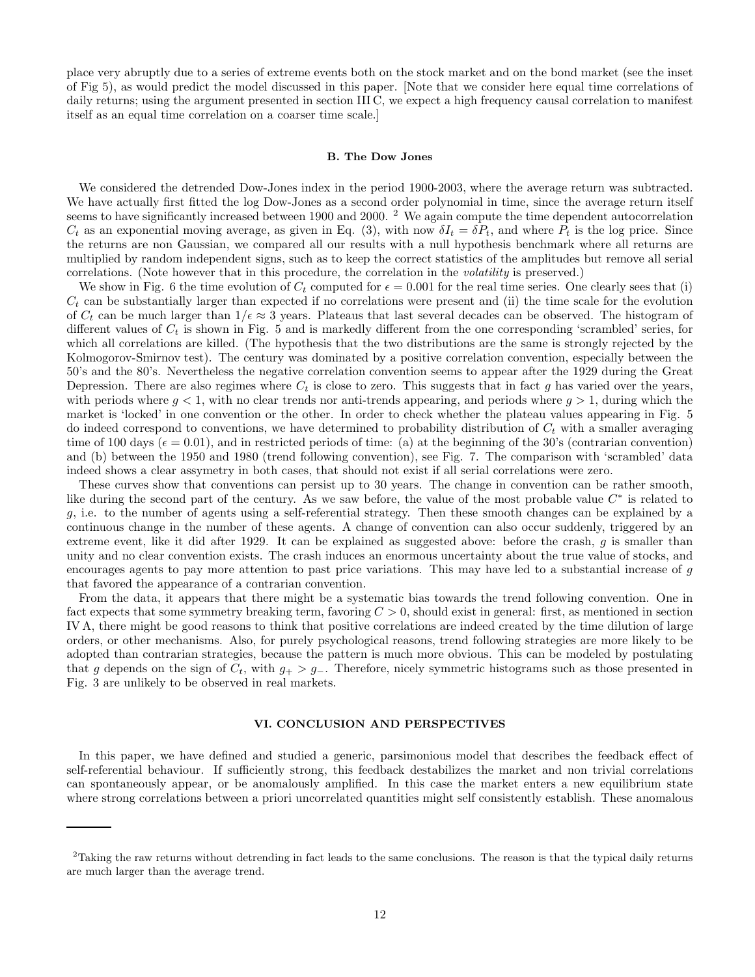place very abruptly due to a series of extreme events both on the stock market and on the bond market (see the inset of Fig 5), as would predict the model discussed in this paper. [Note that we consider here equal time correlations of daily returns; using the argument presented in section III C, we expect a high frequency causal correlation to manifest itself as an equal time correlation on a coarser time scale.]

# B. The Dow Jones

We considered the detrended Dow-Jones index in the period 1900-2003, where the average return was subtracted. We have actually first fitted the log Dow-Jones as a second order polynomial in time, since the average return itself seems to have significantly increased between 1900 and 2000.<sup>2</sup> We again compute the time dependent autocorrelation  $C_t$  as an exponential moving average, as given in Eq. (3), with now  $\delta I_t = \delta P_t$ , and where  $P_t$  is the log price. Since the returns are non Gaussian, we compared all our results with a null hypothesis benchmark where all returns are multiplied by random independent signs, such as to keep the correct statistics of the amplitudes but remove all serial correlations. (Note however that in this procedure, the correlation in the volatility is preserved.)

We show in Fig. 6 the time evolution of  $C_t$  computed for  $\epsilon = 0.001$  for the real time series. One clearly sees that (i)  $C_t$  can be substantially larger than expected if no correlations were present and (ii) the time scale for the evolution of  $C_t$  can be much larger than  $1/\epsilon \approx 3$  years. Plateaus that last several decades can be observed. The histogram of different values of  $C_t$  is shown in Fig. 5 and is markedly different from the one corresponding 'scrambled' series, for which all correlations are killed. (The hypothesis that the two distributions are the same is strongly rejected by the Kolmogorov-Smirnov test). The century was dominated by a positive correlation convention, especially between the 50's and the 80's. Nevertheless the negative correlation convention seems to appear after the 1929 during the Great Depression. There are also regimes where  $C_t$  is close to zero. This suggests that in fact g has varied over the years, with periods where  $g < 1$ , with no clear trends nor anti-trends appearing, and periods where  $g > 1$ , during which the market is 'locked' in one convention or the other. In order to check whether the plateau values appearing in Fig. 5 do indeed correspond to conventions, we have determined to probability distribution of  $C_t$  with a smaller averaging time of 100 days ( $\epsilon = 0.01$ ), and in restricted periods of time: (a) at the beginning of the 30's (contrarian convention) and (b) between the 1950 and 1980 (trend following convention), see Fig. 7. The comparison with 'scrambled' data indeed shows a clear assymetry in both cases, that should not exist if all serial correlations were zero.

These curves show that conventions can persist up to 30 years. The change in convention can be rather smooth, like during the second part of the century. As we saw before, the value of the most probable value  $C^*$  is related to g, i.e. to the number of agents using a self-referential strategy. Then these smooth changes can be explained by a continuous change in the number of these agents. A change of convention can also occur suddenly, triggered by an extreme event, like it did after 1929. It can be explained as suggested above: before the crash, g is smaller than unity and no clear convention exists. The crash induces an enormous uncertainty about the true value of stocks, and encourages agents to pay more attention to past price variations. This may have led to a substantial increase of g that favored the appearance of a contrarian convention.

From the data, it appears that there might be a systematic bias towards the trend following convention. One in fact expects that some symmetry breaking term, favoring  $C > 0$ , should exist in general: first, as mentioned in section IV A, there might be good reasons to think that positive correlations are indeed created by the time dilution of large orders, or other mechanisms. Also, for purely psychological reasons, trend following strategies are more likely to be adopted than contrarian strategies, because the pattern is much more obvious. This can be modeled by postulating that g depends on the sign of  $C_t$ , with  $g_+ > g_-$ . Therefore, nicely symmetric histograms such as those presented in Fig. 3 are unlikely to be observed in real markets.

# VI. CONCLUSION AND PERSPECTIVES

In this paper, we have defined and studied a generic, parsimonious model that describes the feedback effect of self-referential behaviour. If sufficiently strong, this feedback destabilizes the market and non trivial correlations can spontaneously appear, or be anomalously amplified. In this case the market enters a new equilibrium state where strong correlations between a priori uncorrelated quantities might self consistently establish. These anomalous

 $2$ Taking the raw returns without detrending in fact leads to the same conclusions. The reason is that the typical daily returns are much larger than the average trend.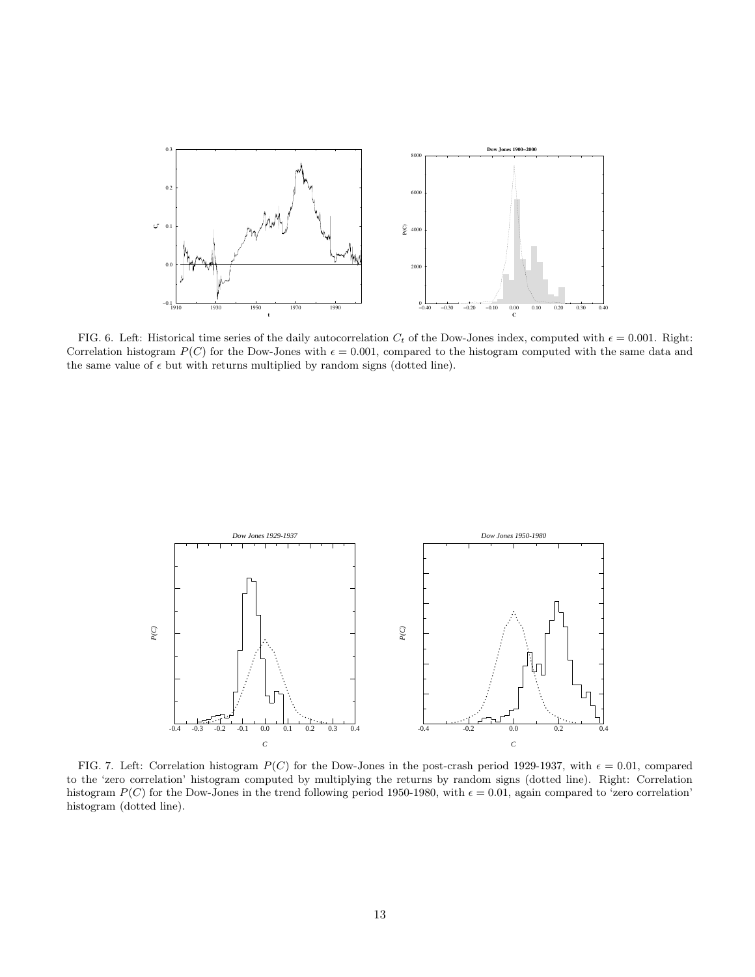

FIG. 6. Left: Historical time series of the daily autocorrelation  $C_t$  of the Dow-Jones index, computed with  $\epsilon = 0.001$ . Right: Correlation histogram  $P(C)$  for the Dow-Jones with  $\epsilon = 0.001$ , compared to the histogram computed with the same data and the same value of  $\epsilon$  but with returns multiplied by random signs (dotted line).



FIG. 7. Left: Correlation histogram  $P(C)$  for the Dow-Jones in the post-crash period 1929-1937, with  $\epsilon = 0.01$ , compared to the 'zero correlation' histogram computed by multiplying the returns by random signs (dotted line). Right: Correlation histogram  $P(C)$  for the Dow-Jones in the trend following period 1950-1980, with  $\epsilon = 0.01$ , again compared to 'zero correlation' histogram (dotted line).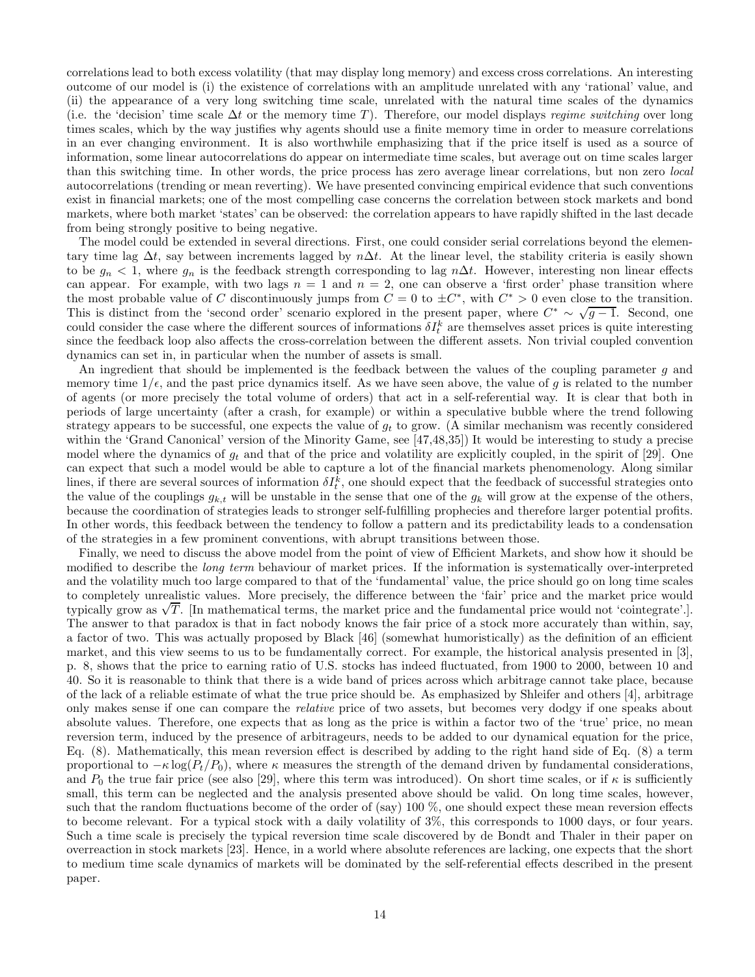correlations lead to both excess volatility (that may display long memory) and excess cross correlations. An interesting outcome of our model is (i) the existence of correlations with an amplitude unrelated with any 'rational' value, and (ii) the appearance of a very long switching time scale, unrelated with the natural time scales of the dynamics (i.e. the 'decision' time scale  $\Delta t$  or the memory time T). Therefore, our model displays regime switching over long times scales, which by the way justifies why agents should use a finite memory time in order to measure correlations in an ever changing environment. It is also worthwhile emphasizing that if the price itself is used as a source of information, some linear autocorrelations do appear on intermediate time scales, but average out on time scales larger than this switching time. In other words, the price process has zero average linear correlations, but non zero local autocorrelations (trending or mean reverting). We have presented convincing empirical evidence that such conventions exist in financial markets; one of the most compelling case concerns the correlation between stock markets and bond markets, where both market 'states' can be observed: the correlation appears to have rapidly shifted in the last decade from being strongly positive to being negative.

The model could be extended in several directions. First, one could consider serial correlations beyond the elementary time lag  $\Delta t$ , say between increments lagged by  $n\Delta t$ . At the linear level, the stability criteria is easily shown to be  $g_n < 1$ , where  $g_n$  is the feedback strength corresponding to lag n∆t. However, interesting non linear effects can appear. For example, with two lags  $n = 1$  and  $n = 2$ , one can observe a 'first order' phase transition where the most probable value of C discontinuously jumps from  $C = 0$  to  $\pm C^*$ , with  $C^* > 0$  even close to the transition. This is distinct from the 'second order' scenario explored in the present paper, where  $C^* \sim \sqrt{g-1}$ . Second, one could consider the case where the different sources of informations  $\delta I_t^k$  are themselves asset prices is quite interesting since the feedback loop also affects the cross-correlation between the different assets. Non trivial coupled convention dynamics can set in, in particular when the number of assets is small.

An ingredient that should be implemented is the feedback between the values of the coupling parameter g and memory time  $1/\epsilon$ , and the past price dynamics itself. As we have seen above, the value of g is related to the number of agents (or more precisely the total volume of orders) that act in a self-referential way. It is clear that both in periods of large uncertainty (after a crash, for example) or within a speculative bubble where the trend following strategy appears to be successful, one expects the value of  $g_t$  to grow. (A similar mechanism was recently considered within the 'Grand Canonical' version of the Minority Game, see [47,48,35]) It would be interesting to study a precise model where the dynamics of  $g_t$  and that of the price and volatility are explicitly coupled, in the spirit of [29]. One can expect that such a model would be able to capture a lot of the financial markets phenomenology. Along similar lines, if there are several sources of information  $\delta I_t^k$ , one should expect that the feedback of successful strategies onto the value of the couplings  $g_{k,t}$  will be unstable in the sense that one of the  $g_k$  will grow at the expense of the others, because the coordination of strategies leads to stronger self-fulfilling prophecies and therefore larger potential profits. In other words, this feedback between the tendency to follow a pattern and its predictability leads to a condensation of the strategies in a few prominent conventions, with abrupt transitions between those.

Finally, we need to discuss the above model from the point of view of Efficient Markets, and show how it should be modified to describe the long term behaviour of market prices. If the information is systematically over-interpreted and the volatility much too large compared to that of the 'fundamental' value, the price should go on long time scales to completely unrealistic values. More precisely, the difference between the 'fair' price and the market price would typically grow as  $\sqrt{T}$ . [In mathematical terms, the market price and the fundamental price would not 'cointegrate'.]. The answer to that paradox is that in fact nobody knows the fair price of a stock more accurately than within, say, a factor of two. This was actually proposed by Black [46] (somewhat humoristically) as the definition of an efficient market, and this view seems to us to be fundamentally correct. For example, the historical analysis presented in [3], p. 8, shows that the price to earning ratio of U.S. stocks has indeed fluctuated, from 1900 to 2000, between 10 and 40. So it is reasonable to think that there is a wide band of prices across which arbitrage cannot take place, because of the lack of a reliable estimate of what the true price should be. As emphasized by Shleifer and others [4], arbitrage only makes sense if one can compare the relative price of two assets, but becomes very dodgy if one speaks about absolute values. Therefore, one expects that as long as the price is within a factor two of the 'true' price, no mean reversion term, induced by the presence of arbitrageurs, needs to be added to our dynamical equation for the price, Eq. (8). Mathematically, this mean reversion effect is described by adding to the right hand side of Eq. (8) a term proportional to  $-\kappa \log(P_t/P_0)$ , where  $\kappa$  measures the strength of the demand driven by fundamental considerations, and  $P_0$  the true fair price (see also [29], where this term was introduced). On short time scales, or if  $\kappa$  is sufficiently small, this term can be neglected and the analysis presented above should be valid. On long time scales, however, such that the random fluctuations become of the order of (say) 100 %, one should expect these mean reversion effects to become relevant. For a typical stock with a daily volatility of 3%, this corresponds to 1000 days, or four years. Such a time scale is precisely the typical reversion time scale discovered by de Bondt and Thaler in their paper on overreaction in stock markets [23]. Hence, in a world where absolute references are lacking, one expects that the short to medium time scale dynamics of markets will be dominated by the self-referential effects described in the present paper.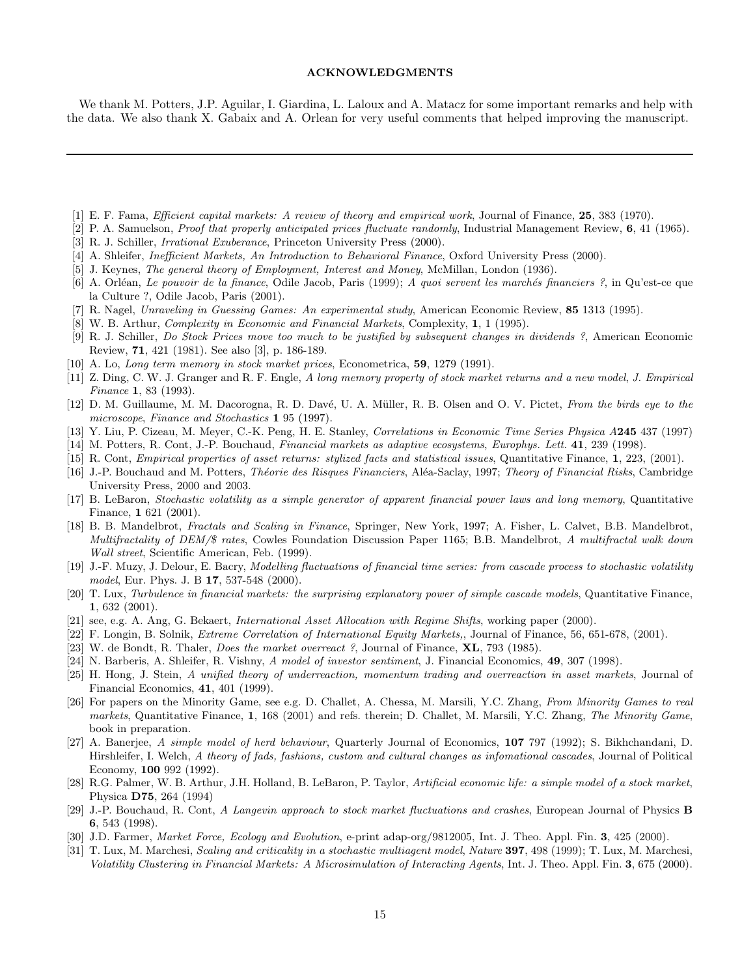# ACKNOWLEDGMENTS

We thank M. Potters, J.P. Aguilar, I. Giardina, L. Laloux and A. Matacz for some important remarks and help with the data. We also thank X. Gabaix and A. Orlean for very useful comments that helped improving the manuscript.

- [1] E. F. Fama, Efficient capital markets: A review of theory and empirical work, Journal of Finance, 25, 383 (1970).
- [2] P. A. Samuelson, *Proof that properly anticipated prices fluctuate randomly*, Industrial Management Review, 6, 41 (1965).
- [3] R. J. Schiller, Irrational Exuberance, Princeton University Press (2000).
- [4] A. Shleifer, *Inefficient Markets*, An Introduction to Behavioral Finance, Oxford University Press (2000).
- [5] J. Keynes, The general theory of Employment, Interest and Money, McMillan, London (1936).
- [6] A. Orléan, Le pouvoir de la finance, Odile Jacob, Paris (1999); A quoi servent les marchés financiers ?, in Qu'est-ce que la Culture ?, Odile Jacob, Paris (2001).
- [7] R. Nagel, Unraveling in Guessing Games: An experimental study, American Economic Review, 85 1313 (1995).
- [8] W. B. Arthur, Complexity in Economic and Financial Markets, Complexity, 1, 1 (1995).
- [9] R. J. Schiller, Do Stock Prices move too much to be justified by subsequent changes in dividends ?, American Economic Review, 71, 421 (1981). See also [3], p. 186-189.
- [10] A. Lo, *Long term memory in stock market prices*, Econometrica, **59**, 1279 (1991).
- [11] Z. Ding, C. W. J. Granger and R. F. Engle, A long memory property of stock market returns and a new model, J. Empirical Finance 1, 83 (1993).
- [12] D. M. Guillaume, M. M. Dacorogna, R. D. Davé, U. A. Müller, R. B. Olsen and O. V. Pictet, From the birds eye to the microscope, Finance and Stochastics 1 95 (1997).
- [13] Y. Liu, P. Cizeau, M. Meyer, C.-K. Peng, H. E. Stanley, Correlations in Economic Time Series Physica A245 437 (1997)
- [14] M. Potters, R. Cont, J.-P. Bouchaud, Financial markets as adaptive ecosystems, Europhys. Lett. 41, 239 (1998).
- [15] R. Cont, Empirical properties of asset returns: stylized facts and statistical issues, Quantitative Finance, 1, 223, (2001).
- [16] J.-P. Bouchaud and M. Potters, *Théorie des Risques Financiers*, Aléa-Saclay, 1997; *Theory of Financial Risks*, Cambridge University Press, 2000 and 2003.
- [17] B. LeBaron, Stochastic volatility as a simple generator of apparent financial power laws and long memory, Quantitative Finance, 1 621 (2001).
- [18] B. B. Mandelbrot, Fractals and Scaling in Finance, Springer, New York, 1997; A. Fisher, L. Calvet, B.B. Mandelbrot, Multifractality of DEM/\$ rates, Cowles Foundation Discussion Paper 1165; B.B. Mandelbrot, A multifractal walk down Wall street, Scientific American, Feb. (1999).
- [19] J.-F. Muzy, J. Delour, E. Bacry, Modelling fluctuations of financial time series: from cascade process to stochastic volatility model, Eur. Phys. J. B 17, 537-548 (2000).
- [20] T. Lux, Turbulence in financial markets: the surprising explanatory power of simple cascade models, Quantitative Finance, 1, 632 (2001).
- [21] see, e.g. A. Ang, G. Bekaert, International Asset Allocation with Regime Shifts, working paper (2000).
- [22] F. Longin, B. Solnik, Extreme Correlation of International Equity Markets,, Journal of Finance, 56, 651-678, (2001).
- [23] W. de Bondt, R. Thaler, *Does the market overreact* ?, Journal of Finance, **XL**, 793 (1985).
- [24] N. Barberis, A. Shleifer, R. Vishny, A model of investor sentiment, J. Financial Economics, 49, 307 (1998).
- [25] H. Hong, J. Stein, A unified theory of underreaction, momentum trading and overreaction in asset markets, Journal of Financial Economics, 41, 401 (1999).
- [26] For papers on the Minority Game, see e.g. D. Challet, A. Chessa, M. Marsili, Y.C. Zhang, From Minority Games to real markets, Quantitative Finance, 1, 168 (2001) and refs. therein; D. Challet, M. Marsili, Y.C. Zhang, The Minority Game, book in preparation.
- [27] A. Banerjee, A simple model of herd behaviour, Quarterly Journal of Economics, 107 797 (1992); S. Bikhchandani, D. Hirshleifer, I. Welch, A theory of fads, fashions, custom and cultural changes as infomational cascades, Journal of Political Economy, 100 992 (1992).
- [28] R.G. Palmer, W. B. Arthur, J.H. Holland, B. LeBaron, P. Taylor, Artificial economic life: a simple model of a stock market, Physica D75, 264 (1994)
- [29] J.-P. Bouchaud, R. Cont, A Langevin approach to stock market fluctuations and crashes, European Journal of Physics B 6, 543 (1998).
- [30] J.D. Farmer, *Market Force, Ecology and Evolution*, e-print adap-org/9812005, Int. J. Theo. Appl. Fin. 3, 425 (2000).
- [31] T. Lux, M. Marchesi, Scaling and criticality in a stochastic multiagent model, Nature 397, 498 (1999); T. Lux, M. Marchesi, Volatility Clustering in Financial Markets: A Microsimulation of Interacting Agents, Int. J. Theo. Appl. Fin. 3, 675 (2000).